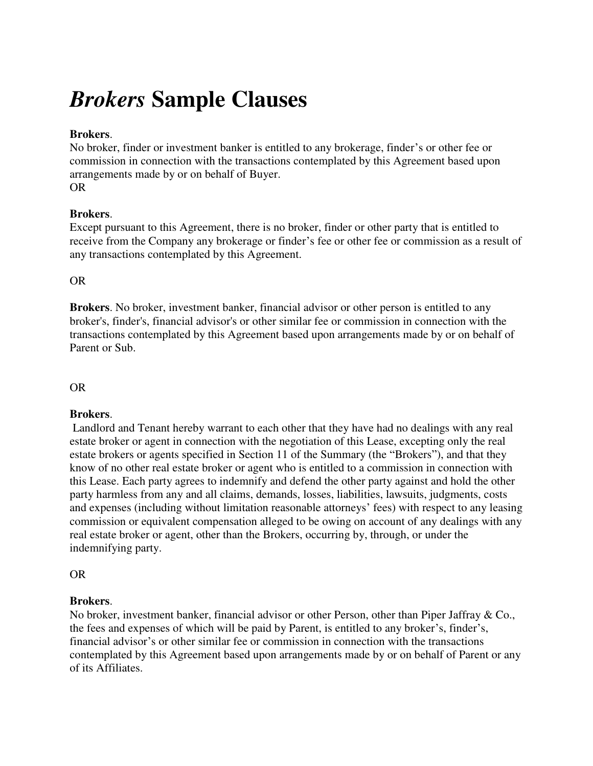# *Brokers* **Sample Clauses**

## **Brokers**.

No broker, finder or investment banker is entitled to any brokerage, finder's or other fee or commission in connection with the transactions contemplated by this Agreement based upon arrangements made by or on behalf of Buyer.

OR

# **Brokers**.

Except pursuant to this Agreement, there is no broker, finder or other party that is entitled to receive from the Company any brokerage or finder's fee or other fee or commission as a result of any transactions contemplated by this Agreement.

OR

**Brokers**. No broker, investment banker, financial advisor or other person is entitled to any broker's, finder's, financial advisor's or other similar fee or commission in connection with the transactions contemplated by this Agreement based upon arrangements made by or on behalf of Parent or Sub.

## OR

# **Brokers**.

 Landlord and Tenant hereby warrant to each other that they have had no dealings with any real estate broker or agent in connection with the negotiation of this Lease, excepting only the real estate brokers or agents specified in Section 11 of the Summary (the "Brokers"), and that they know of no other real estate broker or agent who is entitled to a commission in connection with this Lease. Each party agrees to indemnify and defend the other party against and hold the other party harmless from any and all claims, demands, losses, liabilities, lawsuits, judgments, costs and expenses (including without limitation reasonable attorneys' fees) with respect to any leasing commission or equivalent compensation alleged to be owing on account of any dealings with any real estate broker or agent, other than the Brokers, occurring by, through, or under the indemnifying party.

OR

#### **Brokers**.

No broker, investment banker, financial advisor or other Person, other than Piper Jaffray & Co., the fees and expenses of which will be paid by Parent, is entitled to any broker's, finder's, financial advisor's or other similar fee or commission in connection with the transactions contemplated by this Agreement based upon arrangements made by or on behalf of Parent or any of its Affiliates.